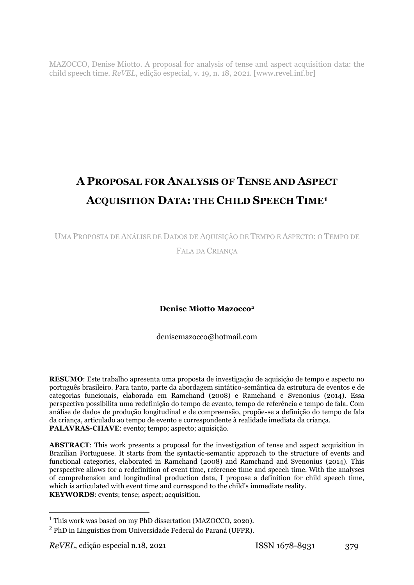MAZOCCO, Denise Miotto. A proposal for analysis of tense and aspect acquisition data: the child speech time. *ReVEL*, edição especial, v. 19, n. 18, 2021. [www.revel.inf.br]

# **A PROPOSAL FOR ANALYSIS OF TENSE AND ASPECT ACQUISITION DATA: THE CHILD SPEECH TIME<sup>1</sup>**

UMA PROPOSTA DE ANÁLISE DE DADOS DE AQUISIÇÃO DE TEMPO E ASPECTO: O TEMPO DE FALA DA CRIANÇA

# **Denise Miotto Mazocco<sup>2</sup>**

denisemazocco@hotmail.com

**RESUMO**: Este trabalho apresenta uma proposta de investigação de aquisição de tempo e aspecto no português brasileiro. Para tanto, parte da abordagem sintático-semântica da estrutura de eventos e de categorias funcionais, elaborada em Ramchand (2008) e Ramchand e Svenonius (2014). Essa perspectiva possibilita uma redefinição do tempo de evento, tempo de referência e tempo de fala. Com análise de dados de produção longitudinal e de compreensão, propõe-se a definição do tempo de fala da criança, articulado ao tempo de evento e correspondente à realidade imediata da criança. **PALAVRAS-CHAVE**: evento; tempo; aspecto; aquisição.

**ABSTRACT**: This work presents a proposal for the investigation of tense and aspect acquisition in Brazilian Portuguese. It starts from the syntactic-semantic approach to the structure of events and functional categories, elaborated in Ramchand (2008) and Ramchand and Svenonius (2014). This perspective allows for a redefinition of event time, reference time and speech time. With the analyses of comprehension and longitudinal production data, I propose a definition for child speech time, which is articulated with event time and correspond to the child's immediate reality. **KEYWORDS**: events; tense; aspect; acquisition.

-

<sup>1</sup> This work was based on my PhD dissertation (MAZOCCO, 2020).

 $<sup>2</sup>$  PhD in Linguistics from Universidade Federal do Paraná (UFPR).</sup>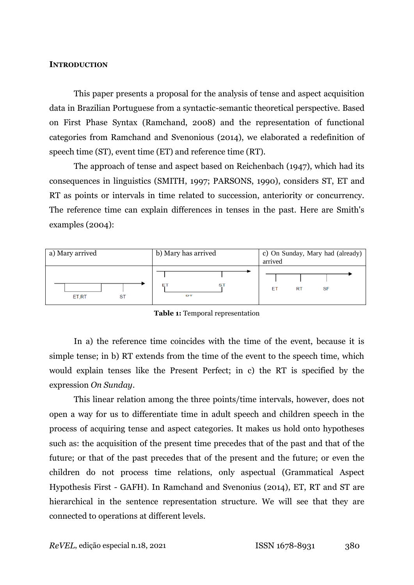### **INTRODUCTION**

This paper presents a proposal for the analysis of tense and aspect acquisition data in Brazilian Portuguese from a syntactic-semantic theoretical perspective. Based on First Phase Syntax (Ramchand, 2008) and the representation of functional categories from Ramchand and Svenonious (2014), we elaborated a redefinition of speech time (ST), event time (ET) and reference time (RT).

The approach of tense and aspect based on Reichenbach (1947), which had its consequences in linguistics (SMITH, 1997; PARSONS, 1990), considers ST, ET and RT as points or intervals in time related to succession, anteriority or concurrency. The reference time can explain differences in tenses in the past. Here are Smith's examples (2004):

| a) Mary arrived | b) Mary has arrived | c) On Sunday, Mary had (already)<br>arrived |
|-----------------|---------------------|---------------------------------------------|
| ET,RT<br>ST     | S1<br><b>DT</b>     | ЕT<br><b>RT</b><br><b>SF</b>                |

**Table 1:** Temporal representation

In a) the reference time coincides with the time of the event, because it is simple tense; in b) RT extends from the time of the event to the speech time, which would explain tenses like the Present Perfect; in c) the RT is specified by the expression *On Sunday*.

This linear relation among the three points/time intervals, however, does not open a way for us to differentiate time in adult speech and children speech in the process of acquiring tense and aspect categories. It makes us hold onto hypotheses such as: the acquisition of the present time precedes that of the past and that of the future; or that of the past precedes that of the present and the future; or even the children do not process time relations, only aspectual (Grammatical Aspect Hypothesis First - GAFH). In Ramchand and Svenonius (2014), ET, RT and ST are hierarchical in the sentence representation structure. We will see that they are connected to operations at different levels.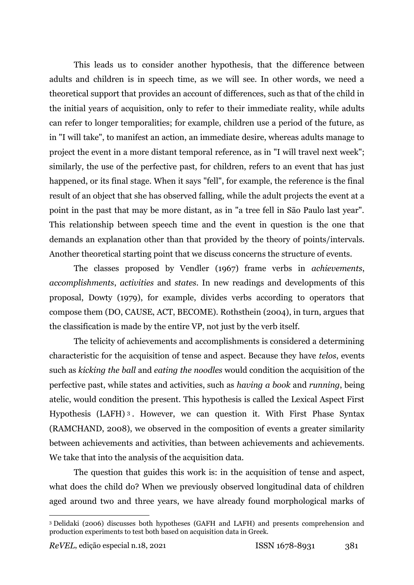This leads us to consider another hypothesis, that the difference between adults and children is in speech time, as we will see. In other words, we need a theoretical support that provides an account of differences, such as that of the child in the initial years of acquisition, only to refer to their immediate reality, while adults can refer to longer temporalities; for example, children use a period of the future, as in "I will take", to manifest an action, an immediate desire, whereas adults manage to project the event in a more distant temporal reference, as in "I will travel next week"; similarly, the use of the perfective past, for children, refers to an event that has just happened, or its final stage. When it says "fell", for example, the reference is the final result of an object that she has observed falling, while the adult projects the event at a point in the past that may be more distant, as in "a tree fell in São Paulo last year". This relationship between speech time and the event in question is the one that demands an explanation other than that provided by the theory of points/intervals. Another theoretical starting point that we discuss concerns the structure of events.

The classes proposed by Vendler (1967) frame verbs in *achievements*, *accomplishments*, *activities* and *states*. In new readings and developments of this proposal, Dowty (1979), for example, divides verbs according to operators that compose them (DO, CAUSE, ACT, BECOME). Rothsthein (2004), in turn, argues that the classification is made by the entire VP, not just by the verb itself.

The telicity of achievements and accomplishments is considered a determining characteristic for the acquisition of tense and aspect. Because they have *telos*, events such as *kicking the ball* and *eating the noodles* would condition the acquisition of the perfective past, while states and activities, such as *having a book* and *running*, being atelic, would condition the present. This hypothesis is called the Lexical Aspect First Hypothesis (LAFH) <sup>3</sup> . However, we can question it. With First Phase Syntax (RAMCHAND, 2008), we observed in the composition of events a greater similarity between achievements and activities, than between achievements and achievements. We take that into the analysis of the acquisition data.

The question that guides this work is: in the acquisition of tense and aspect, what does the child do? When we previously observed longitudinal data of children aged around two and three years, we have already found morphological marks of

<u>.</u>

<sup>3</sup> Delidaki (2006) discusses both hypotheses (GAFH and LAFH) and presents comprehension and production experiments to test both based on acquisition data in Greek.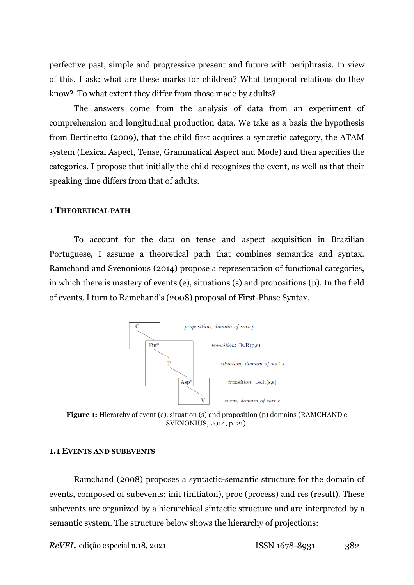perfective past, simple and progressive present and future with periphrasis. In view of this, I ask: what are these marks for children? What temporal relations do they know? To what extent they differ from those made by adults?

The answers come from the analysis of data from an experiment of comprehension and longitudinal production data. We take as a basis the hypothesis from Bertinetto (2009), that the child first acquires a syncretic category, the ATAM system (Lexical Aspect, Tense, Grammatical Aspect and Mode) and then specifies the categories. I propose that initially the child recognizes the event, as well as that their speaking time differs from that of adults.

#### **1 THEORETICAL PATH**

To account for the data on tense and aspect acquisition in Brazilian Portuguese, I assume a theoretical path that combines semantics and syntax. Ramchand and Svenonious (2014) propose a representation of functional categories, in which there is mastery of events (e), situations (s) and propositions (p). In the field of events, I turn to Ramchand's (2008) proposal of First-Phase Syntax.



**Figure 1:** Hierarchy of event (e), situation (s) and proposition (p) domains (RAMCHAND e SVENONIUS, 2014, p. 21).

#### **1.1 EVENTS AND SUBEVENTS**

Ramchand (2008) proposes a syntactic-semantic structure for the domain of events, composed of subevents: init (initiaton), proc (process) and res (result). These subevents are organized by a hierarchical sintactic structure and are interpreted by a semantic system. The structure below shows the hierarchy of projections:

*ReVEL*, edição especial n.18, 2021 **ISSN 1678-8931** 382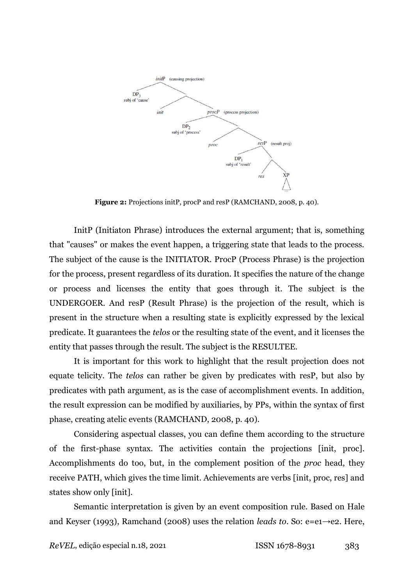

**Figure 2:** Projections initP, procP and resP (RAMCHAND, 2008, p. 40).

InitP (Initiaton Phrase) introduces the external argument; that is, something that "causes" or makes the event happen, a triggering state that leads to the process. The subject of the cause is the INITIATOR. ProcP (Process Phrase) is the projection for the process, present regardless of its duration. It specifies the nature of the change or process and licenses the entity that goes through it. The subject is the UNDERGOER. And resP (Result Phrase) is the projection of the result, which is present in the structure when a resulting state is explicitly expressed by the lexical predicate. It guarantees the *telos* or the resulting state of the event, and it licenses the entity that passes through the result. The subject is the RESULTEE.

It is important for this work to highlight that the result projection does not equate telicity. The *telos* can rather be given by predicates with resP, but also by predicates with path argument, as is the case of accomplishment events. In addition, the result expression can be modified by auxiliaries, by PPs, within the syntax of first phase, creating atelic events (RAMCHAND, 2008, p. 40).

Considering aspectual classes, you can define them according to the structure of the first-phase syntax. The activities contain the projections [init, proc]. Accomplishments do too, but, in the complement position of the *proc* head, they receive PATH, which gives the time limit. Achievements are verbs [init, proc, res] and states show only [init].

Semantic interpretation is given by an event composition rule. Based on Hale and Keyser (1993), Ramchand (2008) uses the relation *leads to*. So: e=e1→e2. Here,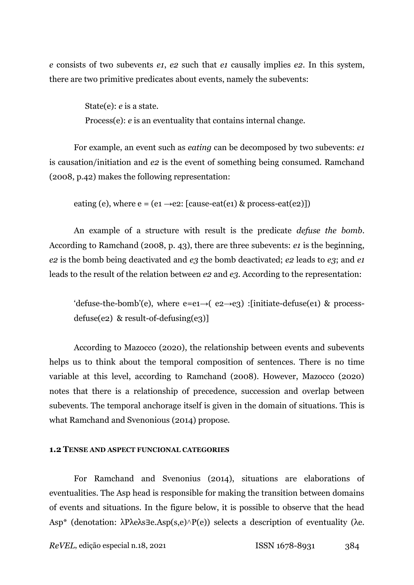*e* consists of two subevents *e1*, *e2* such that *e1* causally implies *e2*. In this system, there are two primitive predicates about events, namely the subevents:

> State(e): *e* is a state. Process(e): *e* is an eventuality that contains internal change.

For example, an event such as *eating* can be decomposed by two subevents: *e1* is causation/initiation and *e2* is the event of something being consumed. Ramchand (2008, p.42) makes the following representation:

eating (e), where  $e = (e_1 \rightarrow e_2: [\text{cause-eat}(e_1) \& \text{process-eat}(e_2)])$ 

An example of a structure with result is the predicate *defuse the bomb*. According to Ramchand (2008, p. 43), there are three subevents: *e1* is the beginning, *e2* is the bomb being deactivated and *e3* the bomb deactivated; *e2* leads to *e3*; and *e1* leads to the result of the relation between *e2* and *e3*. According to the representation:

'defuse-the-bomb'(e), where e=e1→( $e^2$ → $e^3$ ) :[initiate-defuse(e1) & processdefuse(e2) & result-of-defusing(e3)]

According to Mazocco (2020), the relationship between events and subevents helps us to think about the temporal composition of sentences. There is no time variable at this level, according to Ramchand (2008). However, Mazocco (2020) notes that there is a relationship of precedence, succession and overlap between subevents. The temporal anchorage itself is given in the domain of situations. This is what Ramchand and Svenonious (2014) propose.

## **1.2 TENSE AND ASPECT FUNCIONAL CATEGORIES**

For Ramchand and Svenonius (2014), situations are elaborations of eventualities. The Asp head is responsible for making the transition between domains of events and situations. In the figure below, it is possible to observe that the head Asp<sup>\*</sup> (denotation: λPλeλs∃e.Asp(s,e)∧P(e)) selects a description of eventuality (λe.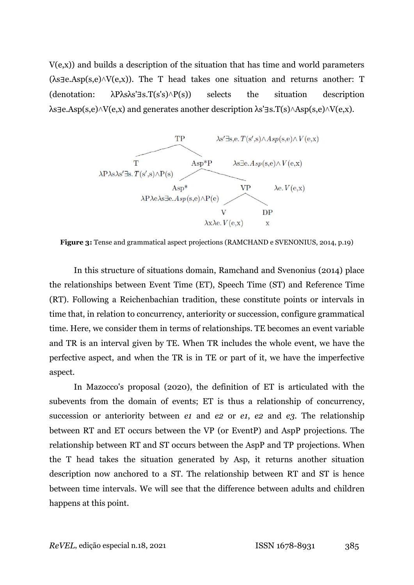$V(e,x)$ ) and builds a description of the situation that has time and world parameters  $(\lambda s \exists e \Delta s p(s, e) \land V(e, x))$ . The T head takes one situation and returns another: T (denotation:  $\lambda P \lambda s \lambda s' \exists s. T(s's) \land P(s)$ ) selects the situation description  $\lambda$ s∃e.Asp(s,e) $\land$ V(e,x) and generates another description  $\lambda$ s'∃s.T(s) $\land$ Asp(s,e) $\land$ V(e,x).



**Figure 3:** Tense and grammatical aspect projections (RAMCHAND e SVENONIUS, 2014, p.19)

In this structure of situations domain, Ramchand and Svenonius (2014) place the relationships between Event Time (ET), Speech Time (ST) and Reference Time (RT). Following a Reichenbachian tradition, these constitute points or intervals in time that, in relation to concurrency, anteriority or succession, configure grammatical time. Here, we consider them in terms of relationships. TE becomes an event variable and TR is an interval given by TE. When TR includes the whole event, we have the perfective aspect, and when the TR is in TE or part of it, we have the imperfective aspect.

In Mazocco's proposal (2020), the definition of ET is articulated with the subevents from the domain of events; ET is thus a relationship of concurrency, succession or anteriority between *e1* and *e2* or *e1*, *e2* and *e3*. The relationship between RT and ET occurs between the VP (or EventP) and AspP projections. The relationship between RT and ST occurs between the AspP and TP projections. When the T head takes the situation generated by Asp, it returns another situation description now anchored to a ST. The relationship between RT and ST is hence between time intervals. We will see that the difference between adults and children happens at this point.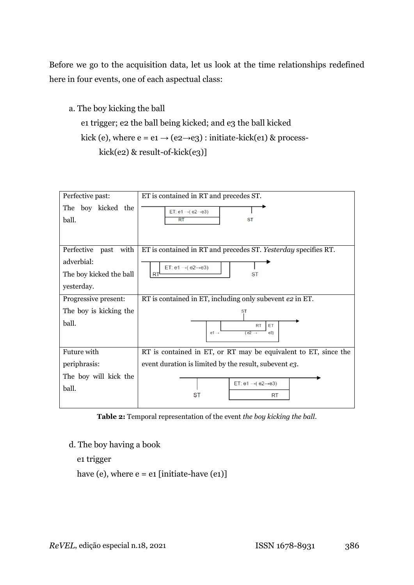Before we go to the acquisition data, let us look at the time relationships redefined here in four events, one of each aspectual class:

```
a. The boy kicking the ball
 e1 trigger; e2 the ball being kicked; and e3 the ball kicked
kick (e), where e = e_1 \rightarrow (e_2 \rightarrow e_3): initiate-kick(e1) & process-
       kick(e2) & result-of-kick(e3)]
```

| Perfective past:                                                            | ET is contained in RT and precedes ST.                                                                                               |
|-----------------------------------------------------------------------------|--------------------------------------------------------------------------------------------------------------------------------------|
| The boy kicked the<br>ball.                                                 | ET: $e1 \rightarrow (e2 \rightarrow e3)$<br>RT<br><b>ST</b>                                                                          |
| Perfective past with<br>adverbial:<br>The boy kicked the ball<br>yesterday. | ET is contained in RT and precedes ST. Yesterday specifies RT.<br>ET: $e1 \rightarrow (e2 \rightarrow e3)$<br><b>RT</b><br><b>ST</b> |
| Progressive present:                                                        | RT is contained in ET, including only subevent e2 in ET.                                                                             |
| The boy is kicking the                                                      | <b>ST</b>                                                                                                                            |
| ball.                                                                       | <b>RT</b><br>ET<br>$(e2 \rightarrow$<br>$e1 \rightarrow$<br>e3)                                                                      |
| Future with                                                                 | RT is contained in ET, or RT may be equivalent to ET, since the                                                                      |
| periphrasis:                                                                | event duration is limited by the result, subevent e3.                                                                                |
| The boy will kick the<br>ball.                                              | ET: $e1 \rightarrow (e2 \rightarrow e3)$<br><b>ST</b><br><b>RT</b>                                                                   |

**Table 2:** Temporal representation of the event *the boy kicking the ball*.

d. The boy having a book

e1 trigger

have (e), where  $e = e1$  [initiate-have (e1)]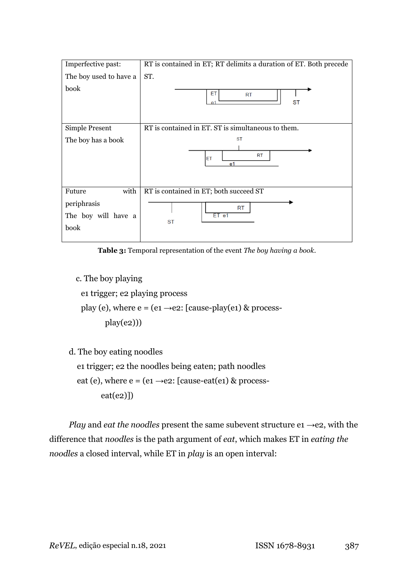| Imperfective past:                                           | RT is contained in ET; RT delimits a duration of ET. Both precede  |
|--------------------------------------------------------------|--------------------------------------------------------------------|
| The boy used to have a                                       | ST.                                                                |
| book                                                         | ET<br><b>RT</b><br><b>ST</b><br>$\mathsf{P}1$                      |
| Simple Present                                               | RT is contained in ET. ST is simultaneous to them.                 |
| The boy has a book                                           | <b>ST</b><br><b>RT</b><br>ET<br>e <sub>1</sub>                     |
| with<br>Future<br>periphrasis<br>The boy will have a<br>book | RT is contained in ET; both succeed ST<br>RT<br>ET e1<br><b>ST</b> |

**Table 3:** Temporal representation of the event *The boy having a book*.

c. The boy playing

e1 trigger; e2 playing process

play (e), where  $e = (e_1 \rightarrow e_2)$ : [cause-play(e1) & processplay(e2)))

d. The boy eating noodles

 e1 trigger; e2 the noodles being eaten; path noodles eat (e), where  $e = (e_1 \rightarrow e_2)$ : [cause-eat(e1) & process $eat(e2)]$ 

*Play* and *eat the noodles* present the same subevent structure e1 →e2, with the difference that *noodles* is the path argument of *eat*, which makes ET in *eating the noodles* a closed interval, while ET in *play* is an open interval: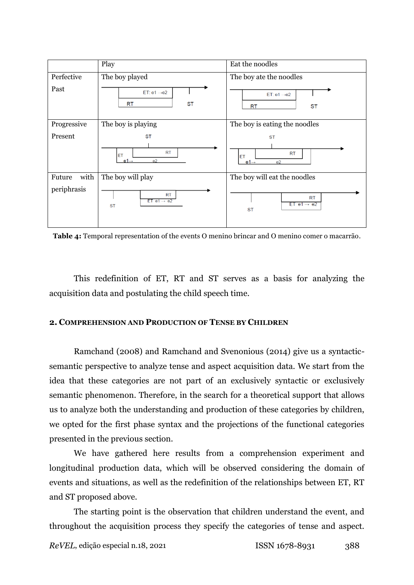

**Table 4:** Temporal representation of the events O menino brincar and O menino comer o macarrão.

This redefinition of ET, RT and ST serves as a basis for analyzing the acquisition data and postulating the child speech time.

# **2. COMPREHENSION AND PRODUCTION OF TENSE BY CHILDREN**

Ramchand (2008) and Ramchand and Svenonious (2014) give us a syntacticsemantic perspective to analyze tense and aspect acquisition data. We start from the idea that these categories are not part of an exclusively syntactic or exclusively semantic phenomenon. Therefore, in the search for a theoretical support that allows us to analyze both the understanding and production of these categories by children, we opted for the first phase syntax and the projections of the functional categories presented in the previous section.

We have gathered here results from a comprehension experiment and longitudinal production data, which will be observed considering the domain of events and situations, as well as the redefinition of the relationships between ET, RT and ST proposed above.

The starting point is the observation that children understand the event, and throughout the acquisition process they specify the categories of tense and aspect.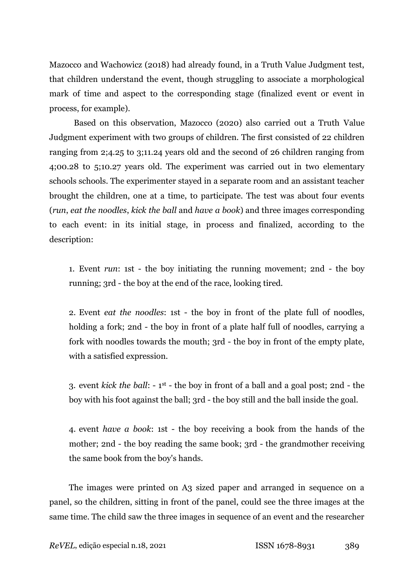Mazocco and Wachowicz (2018) had already found, in a Truth Value Judgment test, that children understand the event, though struggling to associate a morphological mark of time and aspect to the corresponding stage (finalized event or event in process, for example).

Based on this observation, Mazocco (2020) also carried out a Truth Value Judgment experiment with two groups of children. The first consisted of 22 children ranging from 2;4.25 to 3;11.24 years old and the second of 26 children ranging from 4;00.28 to 5;10.27 years old. The experiment was carried out in two elementary schools schools. The experimenter stayed in a separate room and an assistant teacher brought the children, one at a time, to participate. The test was about four events (*run*, *eat the noodles*, *kick the ball* and *have a book*) and three images corresponding to each event: in its initial stage, in process and finalized, according to the description:

1. Event *run*: 1st - the boy initiating the running movement; 2nd - the boy running; 3rd - the boy at the end of the race, looking tired.

2. Event *eat the noodles*: 1st - the boy in front of the plate full of noodles, holding a fork; 2nd - the boy in front of a plate half full of noodles, carrying a fork with noodles towards the mouth; 3rd - the boy in front of the empty plate, with a satisfied expression.

3. event *kick the ball*: - 1 st - the boy in front of a ball and a goal post; 2nd - the boy with his foot against the ball; 3rd - the boy still and the ball inside the goal.

4. event *have a book*: 1st - the boy receiving a book from the hands of the mother; 2nd - the boy reading the same book; 3rd - the grandmother receiving the same book from the boy's hands.

The images were printed on A3 sized paper and arranged in sequence on a panel, so the children, sitting in front of the panel, could see the three images at the same time. The child saw the three images in sequence of an event and the researcher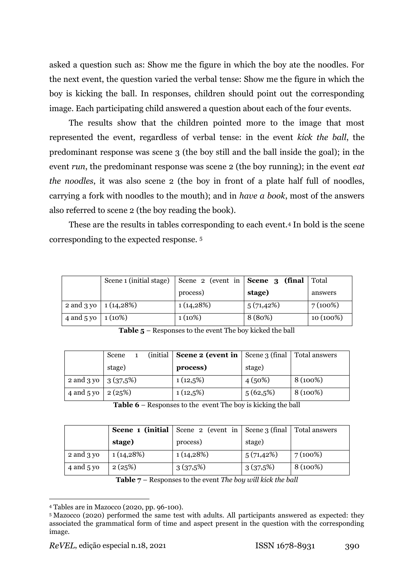asked a question such as: Show me the figure in which the boy ate the noodles. For the next event, the question varied the verbal tense: Show me the figure in which the boy is kicking the ball. In responses, children should point out the corresponding image. Each participating child answered a question about each of the four events.

The results show that the children pointed more to the image that most represented the event, regardless of verbal tense: in the event *kick the ball*, the predominant response was scene 3 (the boy still and the ball inside the goal); in the event *run*, the predominant response was scene 2 (the boy running); in the event *eat the noodles*, it was also scene 2 (the boy in front of a plate half full of noodles, carrying a fork with noodles to the mouth); and in *have a book*, most of the answers also referred to scene 2 (the boy reading the book).

These are the results in tables corresponding to each event.<sup>4</sup> In bold is the scene corresponding to the expected response. <sup>5</sup>

|                    | Scene 1 (initial stage)  | Scene 2 (event in $\vert$ Scene 3 (final |               | Total      |
|--------------------|--------------------------|------------------------------------------|---------------|------------|
|                    |                          | process)                                 | stage)        | answers    |
|                    | 2 and 3 yo   $1(14,28%)$ | $1(14,28\%)$                             | $5(71, 42\%)$ | $7(100\%)$ |
| 4 and 5 yo $\vert$ | $1(10\%)$                | $1(10\%)$                                | 8 (80%)       | 10 (100%)  |

**Table 5** – Responses to the event The boy kicked the ball

|                         | Scene  | (initial $\vert$ <b>Scene 2 (event in</b> $\vert$ Scene 3 (final $\vert$ |             | Total answers |
|-------------------------|--------|--------------------------------------------------------------------------|-------------|---------------|
|                         | stage) | process)                                                                 | stage)      |               |
| 2 and 3 yo   $3(37.5%)$ |        | $1(12,5\%)$                                                              | 4(50%)      | 8 (100%)      |
| 4 and 5 yo              | 2(25%) | $1(12,5\%)$                                                              | $5(62,5\%)$ | 8 (100%)      |

**Table 6** – Responses to the event The boy is kicking the ball

|            | Scene 1 (initial | Scene 2 (event in Scene 3 (final Total answers |           |          |
|------------|------------------|------------------------------------------------|-----------|----------|
|            | stage)           | process)                                       | stage)    |          |
| 2 and 3 yo | $1(14,28\%)$     | 1(14,28%)                                      | 5(71,42%) | 7(100%)  |
| 4 and 5 yo | 2(25%)           | 3(37,5%)                                       | 3(37,5%)  | 8 (100%) |

**Table 7** – Responses to the event *The boy will kick the ball*

<u>.</u>

<sup>4</sup> Tables are in Mazocco (2020, pp. 96-100).

<sup>5</sup> Mazocco (2020) performed the same test with adults. All participants answered as expected: they associated the grammatical form of time and aspect present in the question with the corresponding image.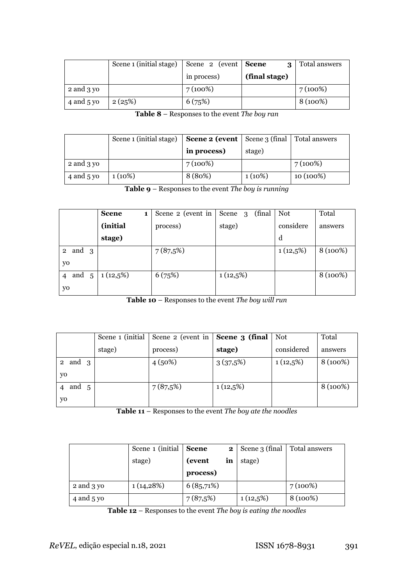|            | Scene 1 (initial stage) | Scene 2 (event Scene | $\mathbf{\Omega}$ | Total answers |
|------------|-------------------------|----------------------|-------------------|---------------|
|            |                         | in process)          | (final stage)     |               |
| 2 and 3 yo |                         | 7(100%)              |                   | 7(100%)       |
| 4 and 5 yo | 2(25%)                  | 6(75%)               |                   | 8 (100%)      |

**Table 8** – Responses to the event *The boy ran*

|            | Scene 1 (initial stage) | <b>Scene 2 (event</b>   Scene 3 (final   Total answers |           |           |
|------------|-------------------------|--------------------------------------------------------|-----------|-----------|
|            |                         | in process)                                            | stage)    |           |
| 2 and 3 yo |                         | $7(100\%)$                                             |           | 7(100%)   |
| 4 and 5 yo | $1(10\%)$               | 8 (80%)                                                | $1(10\%)$ | 10 (100%) |

**Table 9** – Responses to the event *The boy is running*

|                         | <b>Scene</b><br>1 | Scene 2 (event in | (final)<br>Scene<br>-3 | Not         | Total    |
|-------------------------|-------------------|-------------------|------------------------|-------------|----------|
|                         | (initial          | process)          | stage)                 | considere   | answers  |
|                         | stage)            |                   |                        | d           |          |
| and 3<br>$\overline{2}$ |                   | 7(87,5%)          |                        | $1(12,5\%)$ | 8 (100%) |
| yo                      |                   |                   |                        |             |          |
| and<br>5<br>4           | $1(12,5\%)$       | 6(75%)            | $1(12,5\%)$            |             | 8 (100%) |
| yo                      |                   |                   |                        |             |          |

**Table 10** – Responses to the event *The boy will run*

|              |        | Scene 1 (initial   Scene 2 (event in $\vert$ <b>Scene 3 (final</b> |             | Not         | Total    |
|--------------|--------|--------------------------------------------------------------------|-------------|-------------|----------|
|              | stage) | process)                                                           | stage)      | considered  | answers  |
| 2 and $3$    |        | 4(50%)                                                             | 3(37,5%)    | $1(12,5\%)$ | 8 (100%) |
| yo           |        |                                                                    |             |             |          |
| and $5$<br>4 |        | 7(87,5%)                                                           | $1(12,5\%)$ |             | 8 (100%) |
| yo           |        |                                                                    |             |             |          |

**Table 11** – Responses to the event *The boy ate the noodles*

|            | Scene 1 (initial) | <b>Scene</b> | 2 <sub>1</sub> | Scene 3 (final | Total answers |
|------------|-------------------|--------------|----------------|----------------|---------------|
|            | stage)            | (event<br>in |                | stage)         |               |
|            |                   | process)     |                |                |               |
| 2 and 3 yo | 1(14,28%)         | 6(85,71%)    |                |                | 7(100%)       |
| 4 and 5 yo |                   | 7(87,5%)     |                | $1(12,5\%)$    | 8 (100%)      |

**Table 12** – Responses to the event *The boy is eating the noodles*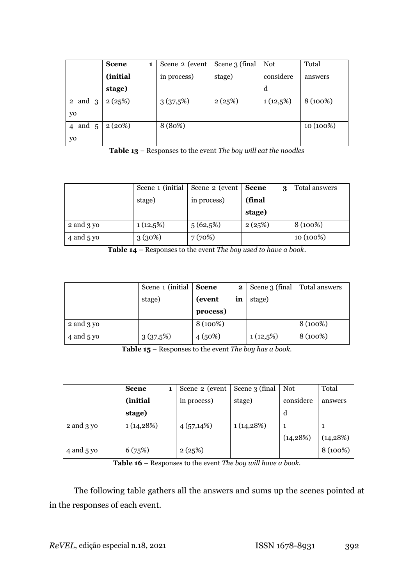|             | <b>Scene</b><br>1 | Scene 2 (event | Scene 3 (final | Not         | Total     |
|-------------|-------------------|----------------|----------------|-------------|-----------|
|             | (initial          | in process)    | stage)         | considere   | answers   |
|             | stage)            |                |                | d           |           |
| $2$ and $3$ | 2(25%)            | 3(37,5%)       | 2(25%)         | $1(12,5\%)$ | 8 (100%)  |
| yo          |                   |                |                |             |           |
| 4 and 5     | 2(20%)            | 8 (80%)        |                |             | 10 (100%) |
| yo          |                   |                |                |             |           |

**Table 13** – Responses to the event *The boy will eat the noodles*

|            | Scene 1 (initial | Scene 2 (event | <b>Scene</b><br>3 | Total answers |
|------------|------------------|----------------|-------------------|---------------|
|            | stage)           | in process)    | (final            |               |
|            |                  |                | stage)            |               |
| 2 and 3 yo | $1(12,5\%)$      | $5(62,5\%)$    | 2(25%)            | 8 (100%)      |
| 4 and 5 yo | 3(30%)           | 7(70%)         |                   | 10 (100%)     |

**Table 14** – Responses to the event *The boy used to have a book*.

|            | Scene 1 (initial) | <b>Scene</b><br>$\mathbf{2}$ |    | Scene 3 (final | Total answers |
|------------|-------------------|------------------------------|----|----------------|---------------|
|            | stage)            | (event)                      | in | stage)         |               |
|            |                   | process)                     |    |                |               |
| 2 and 3 yo |                   | 8 (100%)                     |    |                | 8 (100%)      |
| 4 and 5 yo | 3(37,5%)          | 4(50%)                       |    | $1(12,5\%)$    | 8 (100%)      |

**Table 15** – Responses to the event *The boy has a book.*

|            | <b>Scene</b> | Scene 2 (event | Scene 3 (final | Not       | Total     |
|------------|--------------|----------------|----------------|-----------|-----------|
|            | (initial)    | in process)    | stage)         | considere | answers   |
|            | stage)       |                |                | d         |           |
| 2 and 3 yo | 1(14,28%)    | $4(57,14\%)$   | 1(14,28%)      |           |           |
|            |              |                |                | (14, 28%) | (14, 28%) |
| 4 and 5 yo | 6(75%)       | 2(25%)         |                |           | 8 (100%)  |

**Table 16** – Responses to the event *The boy will have a book.*

The following table gathers all the answers and sums up the scenes pointed at in the responses of each event.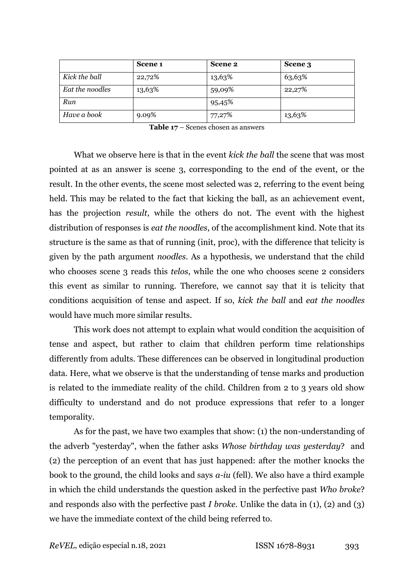|                 | Scene 1 | Scene 2 | Scene 3 |
|-----------------|---------|---------|---------|
| Kick the ball   | 22,72%  | 13,63%  | 63,63%  |
| Eat the noodles | 13,63%  | 59,09%  | 22,27%  |
| Run             |         | 95,45%  |         |
| Have a book     | 9.09%   | 77,27%  | 13,63%  |

What we observe here is that in the event *kick the ball* the scene that was most pointed at as an answer is scene 3, corresponding to the end of the event, or the result. In the other events, the scene most selected was 2, referring to the event being held. This may be related to the fact that kicking the ball, as an achievement event, has the projection *result*, while the others do not. The event with the highest distribution of responses is *eat the noodles*, of the accomplishment kind. Note that its structure is the same as that of running (init, proc), with the difference that telicity is given by the path argument *noodles*. As a hypothesis, we understand that the child who chooses scene 3 reads this *telos*, while the one who chooses scene 2 considers this event as similar to running. Therefore, we cannot say that it is telicity that conditions acquisition of tense and aspect. If so, *kick the ball* and *eat the noodles* would have much more similar results.

This work does not attempt to explain what would condition the acquisition of tense and aspect, but rather to claim that children perform time relationships differently from adults. These differences can be observed in longitudinal production data. Here, what we observe is that the understanding of tense marks and production is related to the immediate reality of the child. Children from 2 to 3 years old show difficulty to understand and do not produce expressions that refer to a longer temporality.

As for the past, we have two examples that show: (1) the non-understanding of the adverb "yesterday", when the father asks *Whose birthday was yesterday*? and (2) the perception of an event that has just happened: after the mother knocks the book to the ground, the child looks and says *a-iu* (fell). We also have a third example in which the child understands the question asked in the perfective past *Who broke*? and responds also with the perfective past *I broke*. Unlike the data in (1), (2) and (3) we have the immediate context of the child being referred to.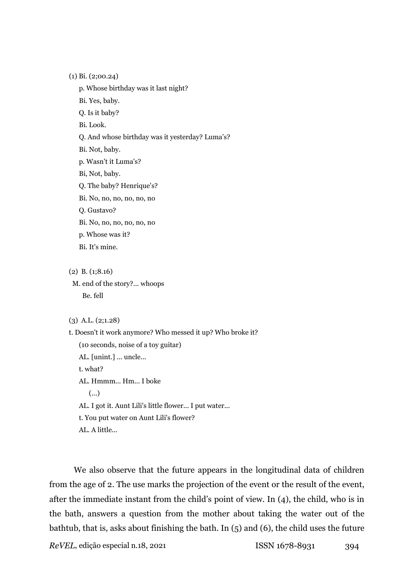(1) Bi. (2;00.24)

p. Whose birthday was it last night?

Bi. Yes, baby.

Q. Is it baby?

Bi. Look.

Q. And whose birthday was it yesterday? Luma's?

Bi. Not, baby.

p. Wasn't it Luma's?

Bi, Not, baby.

Q. The baby? Henrique's?

Bi. No, no, no, no, no, no

Q. Gustavo?

Bi. No, no, no, no, no, no

p. Whose was it?

Bi. It's mine.

(2) B. (1;8.16)

 M. end of the story?... whoops Be. fell

(3) A.L. (2;1.28)

t. Doesn't it work anymore? Who messed it up? Who broke it? (10 seconds, noise of a toy guitar) AL. [unint.] ... uncle... t. what? AL. Hmmm... Hm... I boke (...) AL. I got it. Aunt Lili's little flower... I put water... t. You put water on Aunt Lili's flower? AL. A little...

We also observe that the future appears in the longitudinal data of children from the age of 2. The use marks the projection of the event or the result of the event, after the immediate instant from the child's point of view. In (4), the child, who is in the bath, answers a question from the mother about taking the water out of the bathtub, that is, asks about finishing the bath. In (5) and (6), the child uses the future

*ReVEL*, edição especial n.18, 2021 ISSN 1678-8931 394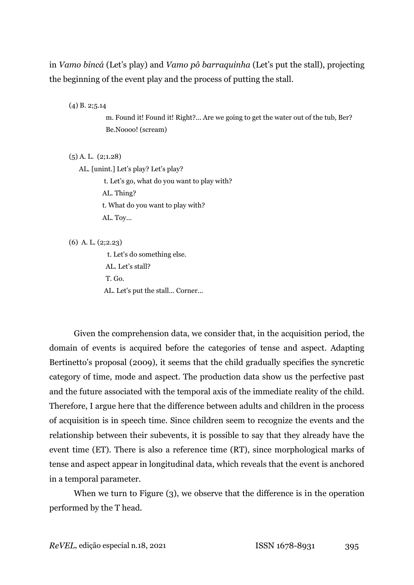in *Vamo bincá* (Let's play) and *Vamo pô barraquinha* (Let's put the stall), projecting the beginning of the event play and the process of putting the stall.

(4) B. 2;5.14

 m. Found it! Found it! Right?... Are we going to get the water out of the tub, Ber? Be.Noooo! (scream)

(5) A. L. (2;1.28)

AL. [unint.] Let's play? Let's play?

t. Let's go, what do you want to play with?

AL. Thing?

t. What do you want to play with?

AL. Toy...

(6) A. L. (2;2.23)

 t. Let's do something else. AL. Let's stall? T. Go. AL. Let's put the stall... Corner...

Given the comprehension data, we consider that, in the acquisition period, the domain of events is acquired before the categories of tense and aspect. Adapting Bertinetto's proposal (2009), it seems that the child gradually specifies the syncretic category of time, mode and aspect. The production data show us the perfective past and the future associated with the temporal axis of the immediate reality of the child. Therefore, I argue here that the difference between adults and children in the process of acquisition is in speech time. Since children seem to recognize the events and the relationship between their subevents, it is possible to say that they already have the event time (ET). There is also a reference time (RT), since morphological marks of tense and aspect appear in longitudinal data, which reveals that the event is anchored in a temporal parameter.

When we turn to Figure (3), we observe that the difference is in the operation performed by the T head.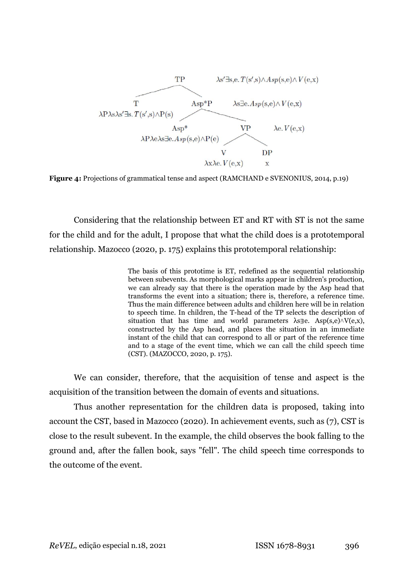

**Figure 4:** Projections of grammatical tense and aspect (RAMCHAND e SVENONIUS, 2014, p.19)

Considering that the relationship between ET and RT with ST is not the same for the child and for the adult, I propose that what the child does is a prototemporal relationship. Mazocco (2020, p. 175) explains this prototemporal relationship:

> The basis of this prototime is ET, redefined as the sequential relationship between subevents. As morphological marks appear in children's production, we can already say that there is the operation made by the Asp head that transforms the event into a situation; there is, therefore, a reference time. Thus the main difference between adults and children here will be in relation to speech time. In children, the T-head of the TP selects the description of situation that has time and world parameters  $\lambda s \exists e$ . Asp(s,e) $\land V(e,x)$ , constructed by the Asp head, and places the situation in an immediate instant of the child that can correspond to all or part of the reference time and to a stage of the event time, which we can call the child speech time (CST). (MAZOCCO, 2020, p. 175).

We can consider, therefore, that the acquisition of tense and aspect is the acquisition of the transition between the domain of events and situations.

Thus another representation for the children data is proposed, taking into account the CST, based in Mazocco (2020). In achievement events, such as (7), CST is close to the result subevent. In the example, the child observes the book falling to the ground and, after the fallen book, says "fell". The child speech time corresponds to the outcome of the event.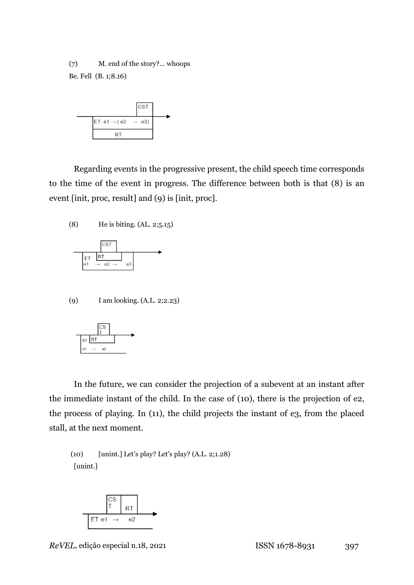(7) M. end of the story?... whoops Be. Fell (B. 1;8.16)



Regarding events in the progressive present, the child speech time corresponds to the time of the event in progress. The difference between both is that (8) is an event [init, proc, result] and (9) is [init, proc].





(9) I am looking. (A.L. 2;2.23)



In the future, we can consider the projection of a subevent at an instant after the immediate instant of the child. In the case of (10), there is the projection of e2, the process of playing. In (11), the child projects the instant of e3, from the placed stall, at the next moment.

# (10) [unint.] Let's play? Let's play? (A.L. 2;1.28) [unint.]

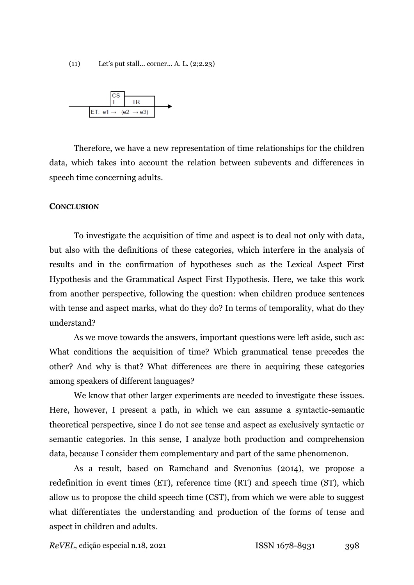(11) Let's put stall... corner... A. L. (2;2.23)



Therefore, we have a new representation of time relationships for the children data, which takes into account the relation between subevents and differences in speech time concerning adults.

#### **CONCLUSION**

To investigate the acquisition of time and aspect is to deal not only with data, but also with the definitions of these categories, which interfere in the analysis of results and in the confirmation of hypotheses such as the Lexical Aspect First Hypothesis and the Grammatical Aspect First Hypothesis. Here, we take this work from another perspective, following the question: when children produce sentences with tense and aspect marks, what do they do? In terms of temporality, what do they understand?

As we move towards the answers, important questions were left aside, such as: What conditions the acquisition of time? Which grammatical tense precedes the other? And why is that? What differences are there in acquiring these categories among speakers of different languages?

We know that other larger experiments are needed to investigate these issues. Here, however, I present a path, in which we can assume a syntactic-semantic theoretical perspective, since I do not see tense and aspect as exclusively syntactic or semantic categories. In this sense, I analyze both production and comprehension data, because I consider them complementary and part of the same phenomenon.

As a result, based on Ramchand and Svenonius (2014), we propose a redefinition in event times (ET), reference time (RT) and speech time (ST), which allow us to propose the child speech time (CST), from which we were able to suggest what differentiates the understanding and production of the forms of tense and aspect in children and adults.